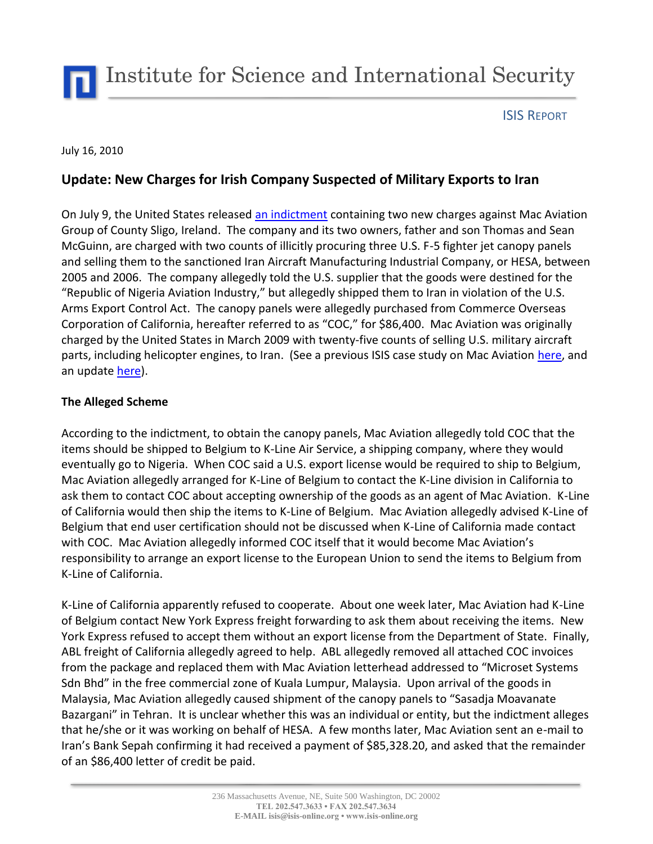## ISIS REPORT

#### July 16, 2010

# **Update: New Charges for Irish Company Suspected of Military Exports to Iran**

On July 9, the United States released [an indictment](http://www.exportlawblog.com/docs/us_v_mac_aviation_superseding_indictment.pdf) containing two new charges against Mac Aviation Group of County Sligo, Ireland. The company and its two owners, father and son Thomas and Sean McGuinn, are charged with two counts of illicitly procuring three U.S. F-5 fighter jet canopy panels and selling them to the sanctioned Iran Aircraft Manufacturing Industrial Company, or HESA, between 2005 and 2006. The company allegedly told the U.S. supplier that the goods were destined for the "Republic of Nigeria Aviation Industry," but allegedly shipped them to Iran in violation of the U.S. Arms Export Control Act. The canopy panels were allegedly purchased from Commerce Overseas Corporation of California, hereafter referred to as "COC," for \$86,400. Mac Aviation was originally charged by the United States in March 2009 with twenty-five counts of selling U.S. military aircraft parts, including helicopter engines, to Iran. (See a previous ISIS case study on Mac Aviation [here,](http://isis-online.org/uploads/isis-reports/documents/Iran_Aircraft_Procurement.pdf) and an updat[e here\)](http://isis-online.org/uploads/isis-reports/documents/Iran_Aircraft_Procurement_Update_23Oct2009.pdf).

### **The Alleged Scheme**

According to the indictment, to obtain the canopy panels, Mac Aviation allegedly told COC that the items should be shipped to Belgium to K-Line Air Service, a shipping company, where they would eventually go to Nigeria. When COC said a U.S. export license would be required to ship to Belgium, Mac Aviation allegedly arranged for K-Line of Belgium to contact the K-Line division in California to ask them to contact COC about accepting ownership of the goods as an agent of Mac Aviation. K-Line of California would then ship the items to K-Line of Belgium. Mac Aviation allegedly advised K-Line of Belgium that end user certification should not be discussed when K-Line of California made contact with COC. Mac Aviation allegedly informed COC itself that it would become Mac Aviation's responsibility to arrange an export license to the European Union to send the items to Belgium from K-Line of California.

K-Line of California apparently refused to cooperate. About one week later, Mac Aviation had K-Line of Belgium contact New York Express freight forwarding to ask them about receiving the items. New York Express refused to accept them without an export license from the Department of State. Finally, ABL freight of California allegedly agreed to help. ABL allegedly removed all attached COC invoices from the package and replaced them with Mac Aviation letterhead addressed to "Microset Systems Sdn Bhd" in the free commercial zone of Kuala Lumpur, Malaysia. Upon arrival of the goods in Malaysia, Mac Aviation allegedly caused shipment of the canopy panels to "Sasadja Moavanate Bazargani" in Tehran. It is unclear whether this was an individual or entity, but the indictment alleges that he/she or it was working on behalf of HESA. A few months later, Mac Aviation sent an e-mail to Iran's Bank Sepah confirming it had received a payment of \$85,328.20, and asked that the remainder of an \$86,400 letter of credit be paid.